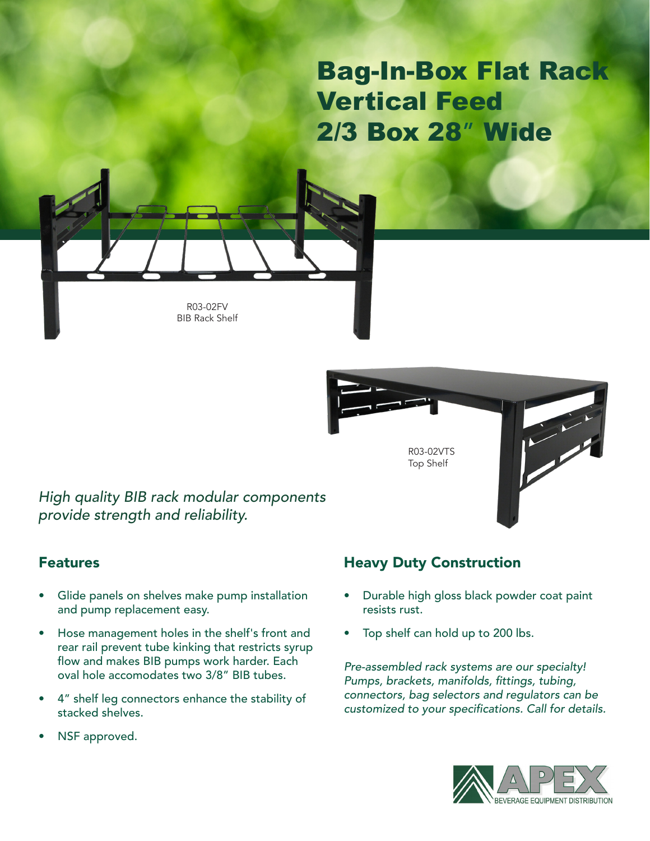# Bag-In-Box Flat Rack Vertical Feed 2/3 Box 28" Wide



R03-02FV BIB Rack Shelf



*High quality BIB rack modular components provide strength and reliability.*

### Features

- Glide panels on shelves make pump installation and pump replacement easy.
- Hose management holes in the shelf's front and rear rail prevent tube kinking that restricts syrup flow and makes BIB pumps work harder. Each oval hole accomodates two 3/8" BIB tubes.
- 4" shelf leg connectors enhance the stability of stacked shelves.
- NSF approved.

## Heavy Duty Construction

- Durable high gloss black powder coat paint resists rust.
- Top shelf can hold up to 200 lbs.

*Pre-assembled rack systems are our specialty!*  Pumps, brackets, manifolds, fittings, tubing, *connectors, bag selectors and regulators can be*  customized to your specifications. Call for details.